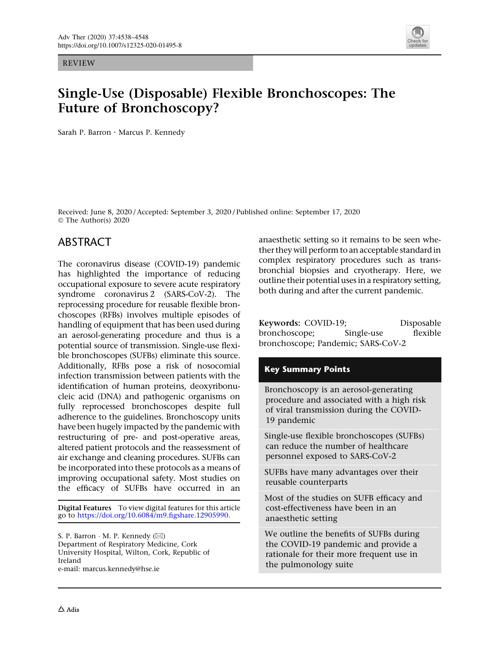REVIEW



# Single-Use (Disposable) Flexible Bronchoscopes: The Future of Bronchoscopy?

Sarah P. Barron · Marcus P. Kennedy

Received: June 8, 2020 / Accepted: September 3, 2020 / Published online: September 17, 2020  $\circ$  The Author(s) 2020

## ABSTRACT

The coronavirus disease (COVID-19) pandemic has highlighted the importance of reducing occupational exposure to severe acute respiratory syndrome coronavirus 2 (SARS-CoV-2). The reprocessing procedure for reusable flexible bronchoscopes (RFBs) involves multiple episodes of handling of equipment that has been used during an aerosol-generating procedure and thus is a potential source of transmission. Single-use flexible bronchoscopes (SUFBs) eliminate this source. Additionally, RFBs pose a risk of nosocomial infection transmission between patients with the identification of human proteins, deoxyribonucleic acid (DNA) and pathogenic organisms on fully reprocessed bronchoscopes despite full adherence to the guidelines. Bronchoscopy units have been hugely impacted by the pandemic with restructuring of pre- and post-operative areas, altered patient protocols and the reassessment of air exchange and cleaning procedures. SUFBs can be incorporated into these protocols as a means of improving occupational safety. Most studies on the efficacy of SUFBs have occurred in an

Digital Features To view digital features for this article go to [https://doi.org/10.6084/m9.figshare.12905990.](https://doi.org/10.6084/m9.figshare.12905990)

S. P. Barron · M. P. Kennedy ( $\boxtimes$ ) Department of Respiratory Medicine, Cork University Hospital, Wilton, Cork, Republic of Ireland e-mail: marcus.kennedy@hse.ie

anaesthetic setting so it remains to be seen whether they will perform to an acceptable standard in complex respiratory procedures such as transbronchial biopsies and cryotherapy. Here, we outline their potential uses in a respiratory setting, both during and after the current pandemic.

Keywords: COVID-19; Disposable bronchoscope; Single-use flexible bronchoscope; Pandemic; SARS-CoV-2

#### Key Summary Points

Bronchoscopy is an aerosol-generating procedure and associated with a high risk of viral transmission during the COVID-19 pandemic

Single-use flexible bronchoscopes (SUFBs) can reduce the number of healthcare personnel exposed to SARS-CoV-2

SUFBs have many advantages over their reusable counterparts

Most of the studies on SUFB efficacy and cost-effectiveness have been in an anaesthetic setting

We outline the benefits of SUFBs during the COVID-19 pandemic and provide a rationale for their more frequent use in the pulmonology suite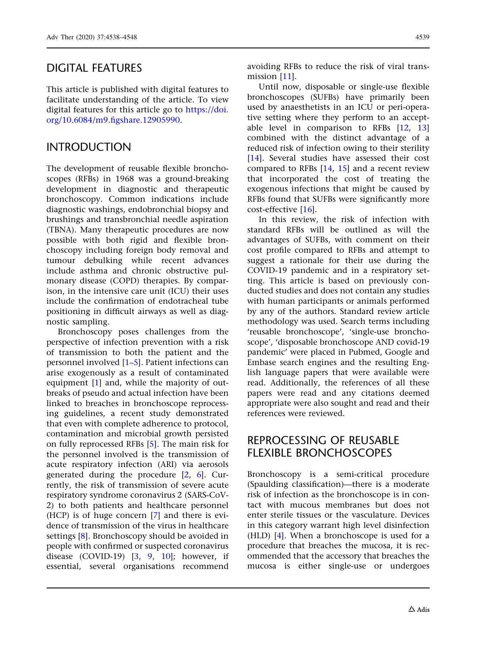## DIGITAL FEATURES

This article is published with digital features to facilitate understanding of the article. To view digital features for this article go to [https://doi.](https://doi.org/10.6084/m9.figshare.12905990) [org/10.6084/m9.figshare.12905990.](https://doi.org/10.6084/m9.figshare.12905990)

## INTRODUCTION

The development of reusable flexible bronchoscopes (RFBs) in 1968 was a ground-breaking development in diagnostic and therapeutic bronchoscopy. Common indications include diagnostic washings, endobronchial biopsy and brushings and transbronchial needle aspiration (TBNA). Many therapeutic procedures are now possible with both rigid and flexible bronchoscopy including foreign body removal and tumour debulking while recent advances include asthma and chronic obstructive pulmonary disease (COPD) therapies. By comparison, in the intensive care unit (ICU) their uses include the confirmation of endotracheal tube positioning in difficult airways as well as diagnostic sampling.

Bronchoscopy poses challenges from the perspective of infection prevention with a risk of transmission to both the patient and the personnel involved [\[1–5\]](#page-9-0). Patient infections can arise exogenously as a result of contaminated equipment [\[1\]](#page-9-0) and, while the majority of outbreaks of pseudo and actual infection have been linked to breaches in bronchoscope reprocessing guidelines, a recent study demonstrated that even with complete adherence to protocol, contamination and microbial growth persisted on fully reprocessed RFBs [\[5](#page-9-0)]. The main risk for the personnel involved is the transmission of acute respiratory infection (ARI) via aerosols generated during the procedure  $[2, 6]$  $[2, 6]$  $[2, 6]$  $[2, 6]$ . Currently, the risk of transmission of severe acute respiratory syndrome coronavirus 2 (SARS-CoV-2) to both patients and healthcare personnel (HCP) is of huge concern [[7\]](#page-9-0) and there is evidence of transmission of the virus in healthcare settings [\[8](#page-9-0)]. Bronchoscopy should be avoided in people with confirmed or suspected coronavirus disease (COVID-19) [[3,](#page-9-0) [9](#page-9-0), [10](#page-9-0)]; however, if essential, several organisations recommend avoiding RFBs to reduce the risk of viral transmission [[11](#page-9-0)].

Until now, disposable or single-use flexible bronchoscopes (SUFBs) have primarily been used by anaesthetists in an ICU or peri-operative setting where they perform to an acceptable level in comparison to RFBs [[12](#page-9-0), [13](#page-9-0)] combined with the distinct advantage of a reduced risk of infection owing to their sterility [\[14\]](#page-9-0). Several studies have assessed their cost compared to RFBs [\[14,](#page-9-0) [15\]](#page-9-0) and a recent review that incorporated the cost of treating the exogenous infections that might be caused by RFBs found that SUFBs were significantly more cost-effective [[16](#page-9-0)].

In this review, the risk of infection with standard RFBs will be outlined as will the advantages of SUFBs, with comment on their cost profile compared to RFBs and attempt to suggest a rationale for their use during the COVID-19 pandemic and in a respiratory setting. This article is based on previously conducted studies and does not contain any studies with human participants or animals performed by any of the authors. Standard review article methodology was used. Search terms including 'reusable bronchoscope', 'single-use bronchoscope', 'disposable bronchoscope AND covid-19 pandemic' were placed in Pubmed, Google and Embase search engines and the resulting English language papers that were available were read. Additionally, the references of all these papers were read and any citations deemed appropriate were also sought and read and their references were reviewed.

#### REPROCESSING OF REUSABLE FLEXIBLE BRONCHOSCOPES

Bronchoscopy is a semi-critical procedure (Spaulding classification)—there is a moderate risk of infection as the bronchoscope is in contact with mucous membranes but does not enter sterile tissues or the vasculature. Devices in this category warrant high level disinfection (HLD) [[4\]](#page-9-0). When a bronchoscope is used for a procedure that breaches the mucosa, it is recommended that the accessory that breaches the mucosa is either single-use or undergoes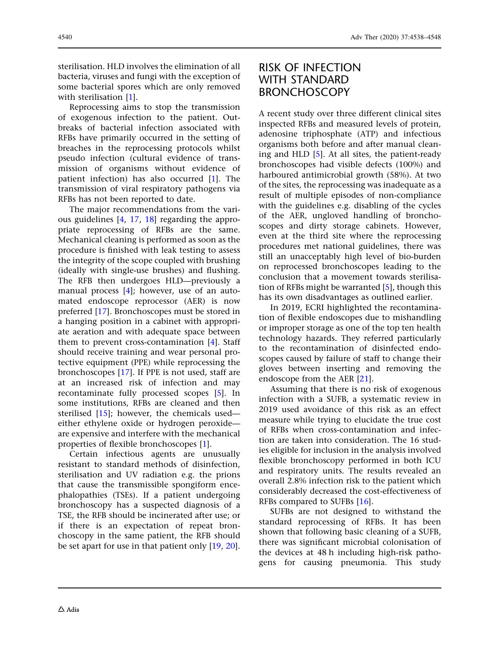sterilisation. HLD involves the elimination of all bacteria, viruses and fungi with the exception of some bacterial spores which are only removed with sterilisation [[1](#page-9-0)].

Reprocessing aims to stop the transmission of exogenous infection to the patient. Outbreaks of bacterial infection associated with RFBs have primarily occurred in the setting of breaches in the reprocessing protocols whilst pseudo infection (cultural evidence of transmission of organisms without evidence of patient infection) has also occurred [[1](#page-9-0)]. The transmission of viral respiratory pathogens via RFBs has not been reported to date.

The major recommendations from the various guidelines [[4,](#page-9-0) [17,](#page-9-0) [18](#page-9-0)] regarding the appropriate reprocessing of RFBs are the same. Mechanical cleaning is performed as soon as the procedure is finished with leak testing to assess the integrity of the scope coupled with brushing (ideally with single-use brushes) and flushing. The RFB then undergoes HLD—previously a manual process [\[4](#page-9-0)]; however, use of an automated endoscope reprocessor (AER) is now preferred [\[17\]](#page-9-0). Bronchoscopes must be stored in a hanging position in a cabinet with appropriate aeration and with adequate space between them to prevent cross-contamination [[4](#page-9-0)]. Staff should receive training and wear personal protective equipment (PPE) while reprocessing the bronchoscopes [[17](#page-9-0)]. If PPE is not used, staff are at an increased risk of infection and may recontaminate fully processed scopes [[5](#page-9-0)]. In some institutions, RFBs are cleaned and then sterilised [\[15\]](#page-9-0); however, the chemicals used either ethylene oxide or hydrogen peroxide are expensive and interfere with the mechanical properties of flexible bronchoscopes [[1\]](#page-9-0).

Certain infectious agents are unusually resistant to standard methods of disinfection, sterilisation and UV radiation e.g. the prions that cause the transmissible spongiform encephalopathies (TSEs). If a patient undergoing bronchoscopy has a suspected diagnosis of a TSE, the RFB should be incinerated after use; or if there is an expectation of repeat bronchoscopy in the same patient, the RFB should be set apart for use in that patient only [[19,](#page-9-0) [20](#page-9-0)].

## RISK OF INFECTION WITH STANDARD **BRONCHOSCOPY**

A recent study over three different clinical sites inspected RFBs and measured levels of protein, adenosine triphosphate (ATP) and infectious organisms both before and after manual cleaning and HLD [\[5\]](#page-9-0). At all sites, the patient-ready bronchoscopes had visible defects (100%) and harboured antimicrobial growth (58%). At two of the sites, the reprocessing was inadequate as a result of multiple episodes of non-compliance with the guidelines e.g. disabling of the cycles of the AER, ungloved handling of bronchoscopes and dirty storage cabinets. However, even at the third site where the reprocessing procedures met national guidelines, there was still an unacceptably high level of bio-burden on reprocessed bronchoscopes leading to the conclusion that a movement towards sterilisation of RFBs might be warranted [\[5\]](#page-9-0), though this has its own disadvantages as outlined earlier.

In 2019, ECRI highlighted the recontamination of flexible endoscopes due to mishandling or improper storage as one of the top ten health technology hazards. They referred particularly to the recontamination of disinfected endoscopes caused by failure of staff to change their gloves between inserting and removing the endoscope from the AER [[21](#page-10-0)].

Assuming that there is no risk of exogenous infection with a SUFB, a systematic review in 2019 used avoidance of this risk as an effect measure while trying to elucidate the true cost of RFBs when cross-contamination and infection are taken into consideration. The 16 studies eligible for inclusion in the analysis involved flexible bronchoscopy performed in both ICU and respiratory units. The results revealed an overall 2.8% infection risk to the patient which considerably decreased the cost-effectiveness of RFBs compared to SUFBs [[16\]](#page-9-0).

SUFBs are not designed to withstand the standard reprocessing of RFBs. It has been shown that following basic cleaning of a SUFB, there was significant microbial colonisation of the devices at 48 h including high-risk pathogens for causing pneumonia. This study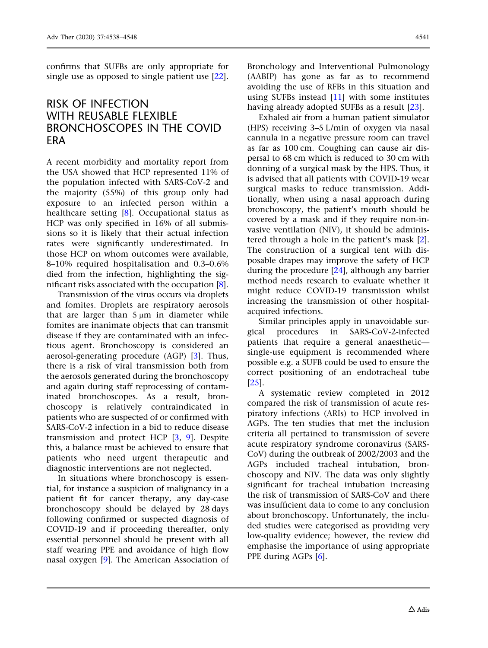confirms that SUFBs are only appropriate for single use as opposed to single patient use [[22\]](#page-10-0).

## RISK OF INFECTION WITH REUSABLE FLEXIBLE BRONCHOSCOPES IN THE COVID ERA

A recent morbidity and mortality report from the USA showed that HCP represented 11% of the population infected with SARS-CoV-2 and the majority (55%) of this group only had exposure to an infected person within a healthcare setting [[8](#page-9-0)]. Occupational status as HCP was only specified in 16% of all submissions so it is likely that their actual infection rates were significantly underestimated. In those HCP on whom outcomes were available, 8–10% required hospitalisation and 0.3–0.6% died from the infection, highlighting the significant risks associated with the occupation [\[8\]](#page-9-0).

Transmission of the virus occurs via droplets and fomites. Droplets are respiratory aerosols that are larger than  $5 \text{ nm}$  in diameter while fomites are inanimate objects that can transmit disease if they are contaminated with an infectious agent. Bronchoscopy is considered an aerosol-generating procedure (AGP) [\[3\]](#page-9-0). Thus, there is a risk of viral transmission both from the aerosols generated during the bronchoscopy and again during staff reprocessing of contaminated bronchoscopes. As a result, bronchoscopy is relatively contraindicated in patients who are suspected of or confirmed with SARS-CoV-2 infection in a bid to reduce disease transmission and protect HCP [\[3,](#page-9-0) [9\]](#page-9-0). Despite this, a balance must be achieved to ensure that patients who need urgent therapeutic and diagnostic interventions are not neglected.

In situations where bronchoscopy is essential, for instance a suspicion of malignancy in a patient fit for cancer therapy, any day-case bronchoscopy should be delayed by 28 days following confirmed or suspected diagnosis of COVID-19 and if proceeding thereafter, only essential personnel should be present with all staff wearing PPE and avoidance of high flow nasal oxygen [\[9\]](#page-9-0). The American Association of Bronchology and Interventional Pulmonology (AABIP) has gone as far as to recommend avoiding the use of RFBs in this situation and using SUFBs instead [\[11\]](#page-9-0) with some institutes having already adopted SUFBs as a result [[23\]](#page-10-0).

Exhaled air from a human patient simulator (HPS) receiving 3–5 L/min of oxygen via nasal cannula in a negative pressure room can travel as far as 100 cm. Coughing can cause air dispersal to 68 cm which is reduced to 30 cm with donning of a surgical mask by the HPS. Thus, it is advised that all patients with COVID-19 wear surgical masks to reduce transmission. Additionally, when using a nasal approach during bronchoscopy, the patient's mouth should be covered by a mask and if they require non-invasive ventilation (NIV), it should be administered through a hole in the patient's mask [\[2](#page-9-0)]. The construction of a surgical tent with disposable drapes may improve the safety of HCP during the procedure [\[24\]](#page-10-0), although any barrier method needs research to evaluate whether it might reduce COVID-19 transmission whilst increasing the transmission of other hospitalacquired infections.

Similar principles apply in unavoidable surgical procedures in SARS-CoV-2-infected patients that require a general anaesthetic single-use equipment is recommended where possible e.g. a SUFB could be used to ensure the correct positioning of an endotracheal tube [\[25\]](#page-10-0).

A systematic review completed in 2012 compared the risk of transmission of acute respiratory infections (ARIs) to HCP involved in AGPs. The ten studies that met the inclusion criteria all pertained to transmission of severe acute respiratory syndrome coronavirus (SARS-CoV) during the outbreak of 2002/2003 and the AGPs included tracheal intubation, bronchoscopy and NIV. The data was only slightly significant for tracheal intubation increasing the risk of transmission of SARS-CoV and there was insufficient data to come to any conclusion about bronchoscopy. Unfortunately, the included studies were categorised as providing very low-quality evidence; however, the review did emphasise the importance of using appropriate PPE during AGPs [[6\]](#page-9-0).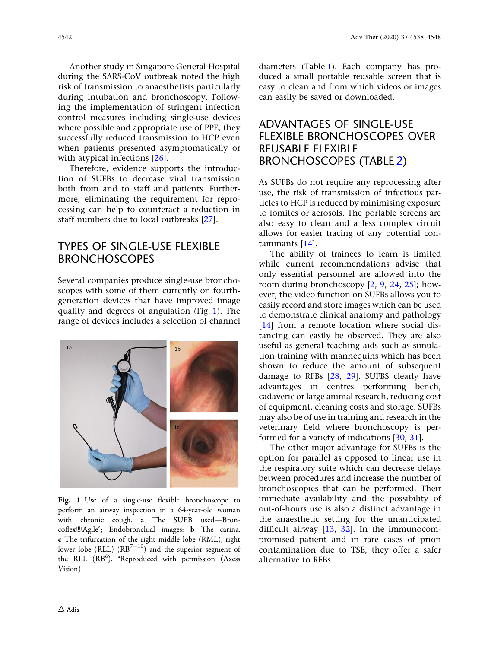<span id="page-4-0"></span>Another study in Singapore General Hospital during the SARS-CoV outbreak noted the high risk of transmission to anaesthetists particularly during intubation and bronchoscopy. Following the implementation of stringent infection control measures including single-use devices where possible and appropriate use of PPE, they successfully reduced transmission to HCP even when patients presented asymptomatically or with atypical infections [\[26\]](#page-10-0).

Therefore, evidence supports the introduction of SUFBs to decrease viral transmission both from and to staff and patients. Furthermore, eliminating the requirement for reprocessing can help to counteract a reduction in staff numbers due to local outbreaks [[27](#page-10-0)].

#### TYPES OF SINGLE-USE FLEXIBLE **BRONCHOSCOPES**

Several companies produce single-use bronchoscopes with some of them currently on fourthgeneration devices that have improved image quality and degrees of angulation (Fig. 1). The range of devices includes a selection of channel



Fig. 1 Use of a single-use flexible bronchoscope to perform an airway inspection in a 64-year-old woman with chronic cough. a The SUFB used—Broncoflex®Agile<sup>a</sup>; Endobronchial images: **b** The carina. c The trifurcation of the right middle lobe (RML), right lower lobe (RLL)  $(RB^{7-10})$  and the superior segment of the RLL (RB<sup>6</sup>). <sup>a</sup>Reproduced with permission (Axess Vision)

diameters (Table [1\)](#page-5-0). Each company has produced a small portable reusable screen that is easy to clean and from which videos or images can easily be saved or downloaded.

#### ADVANTAGES OF SINGLE-USE FLEXIBLE BRONCHOSCOPES OVER REUSABLE FLEXIBLE BRONCHOSCOPES (TABLE [2\)](#page-5-0)

As SUFBs do not require any reprocessing after use, the risk of transmission of infectious particles to HCP is reduced by minimising exposure to fomites or aerosols. The portable screens are also easy to clean and a less complex circuit allows for easier tracing of any potential contaminants [\[14\]](#page-9-0).

The ability of trainees to learn is limited while current recommendations advise that only essential personnel are allowed into the room during bronchoscopy [[2,](#page-9-0) [9,](#page-9-0) [24](#page-10-0), [25](#page-10-0)]; however, the video function on SUFBs allows you to easily record and store images which can be used to demonstrate clinical anatomy and pathology [\[14\]](#page-9-0) from a remote location where social distancing can easily be observed. They are also useful as general teaching aids such as simulation training with mannequins which has been shown to reduce the amount of subsequent damage to RFBs [\[28,](#page-10-0) [29](#page-10-0)]. SUFBS clearly have advantages in centres performing bench, cadaveric or large animal research, reducing cost of equipment, cleaning costs and storage. SUFBs may also be of use in training and research in the veterinary field where bronchoscopy is performed for a variety of indications [[30](#page-10-0), [31](#page-10-0)].

The other major advantage for SUFBs is the option for parallel as opposed to linear use in the respiratory suite which can decrease delays between procedures and increase the number of bronchoscopies that can be performed. Their immediate availability and the possibility of out-of-hours use is also a distinct advantage in the anaesthetic setting for the unanticipated difficult airway [[13](#page-9-0), [32\]](#page-10-0). In the immunocompromised patient and in rare cases of prion contamination due to TSE, they offer a safer alternative to RFBs.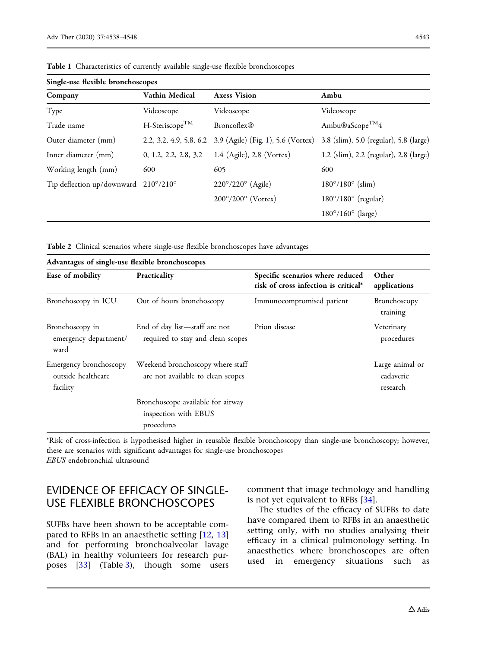| Single-use flexible bronchoscopes    |                               |                                    |                                         |  |
|--------------------------------------|-------------------------------|------------------------------------|-----------------------------------------|--|
| Company                              | Vathin Medical                | <b>Axess Vision</b>                | Ambu                                    |  |
| Type                                 | Videoscope                    | Videoscope                         | Videoscope                              |  |
| Trade name                           | $H$ -Steriscope <sup>TM</sup> | <b>Broncoflex®</b>                 | Ambu $\circledR$ aScope <sup>TM</sup> 4 |  |
| Outer diameter (mm)                  | 2.2, 3.2, 4.9, 5.8, 6.2       | 3.9 (Agile) (Fig. 1), 5.6 (Vortex) | 3.8 (slim), 5.0 (regular), 5.8 (large)  |  |
| Inner diameter (mm)                  | 0, 1.2, 2.2, 2.8, 3.2         | 1.4 (Agile), 2.8 (Vortex)          | 1.2 (slim), 2.2 (regular), 2.8 (large)  |  |
| Working length (mm)                  | 600                           | 605                                | 600                                     |  |
| Tip deflection up/downward 210°/210° |                               | 220°/220° (Agile)                  | $180^{\circ}/180^{\circ}$ (slim)        |  |
|                                      |                               | $200^{\circ}/200^{\circ}$ (Vortex) | $180^{\circ}/180^{\circ}$ (regular)     |  |
|                                      |                               |                                    | $180^{\circ}/160^{\circ}$ (large)       |  |

<span id="page-5-0"></span>Table 1 Characteristics of currently available single-use flexible bronchoscopes

|  |  |  |  |  |  | Table 2 Clinical scenarios where single-use flexible bronchoscopes have advantages |  |  |
|--|--|--|--|--|--|------------------------------------------------------------------------------------|--|--|
|--|--|--|--|--|--|------------------------------------------------------------------------------------|--|--|

| Advantages of single-use flexible bronchoscopes          |                                                                         |                                                                          |                                          |  |  |
|----------------------------------------------------------|-------------------------------------------------------------------------|--------------------------------------------------------------------------|------------------------------------------|--|--|
| Ease of mobility                                         | Practicality                                                            | Specific scenarios where reduced<br>risk of cross infection is critical* | Other<br>applications                    |  |  |
| Bronchoscopy in ICU                                      | Out of hours bronchoscopy                                               | Immunocompromised patient                                                | Bronchoscopy<br>training                 |  |  |
| Bronchoscopy in<br>emergency department/<br>ward         | End of day list—staff are not<br>required to stay and clean scopes      | Prion disease                                                            | Veterinary<br>procedures                 |  |  |
| Emergency bronchoscopy<br>outside healthcare<br>facility | Weekend bronchoscopy where staff<br>are not available to clean scopes   |                                                                          | Large animal or<br>cadaveric<br>research |  |  |
|                                                          | Bronchoscope available for airway<br>inspection with EBUS<br>procedures |                                                                          |                                          |  |  |

\*Risk of cross-infection is hypothesised higher in reusable flexible bronchoscopy than single-use bronchoscopy; however, these are scenarios with significant advantages for single-use bronchoscopes EBUS endobronchial ultrasound

## EVIDENCE OF EFFICACY OF SINGLE-USE FLEXIBLE BRONCHOSCOPES

SUFBs have been shown to be acceptable compared to RFBs in an anaesthetic setting [[12](#page-9-0), [13\]](#page-9-0) and for performing bronchoalveolar lavage (BAL) in healthy volunteers for research purposes [[33](#page-10-0)] (Table [3](#page-6-0)), though some users comment that image technology and handling is not yet equivalent to RFBs [\[34\]](#page-10-0).

The studies of the efficacy of SUFBs to date have compared them to RFBs in an anaesthetic setting only, with no studies analysing their efficacy in a clinical pulmonology setting. In anaesthetics where bronchoscopes are often used in emergency situations such as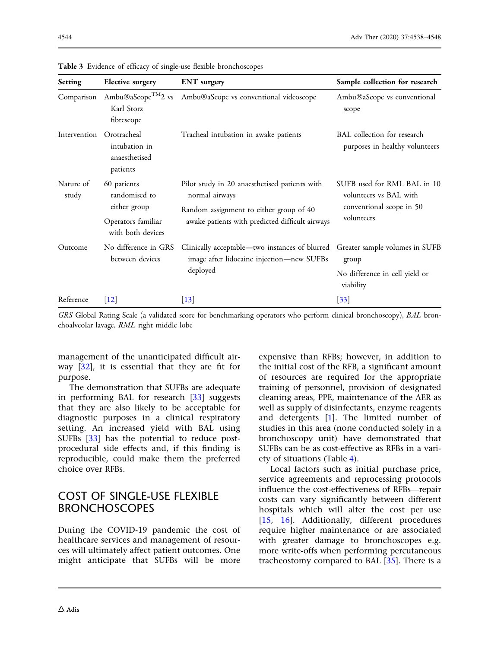| <b>Setting</b>     | <b>Elective surgery</b>                                                                 | <b>ENT</b> surgery                                                                                                                                            | Sample collection for research                                                                  |
|--------------------|-----------------------------------------------------------------------------------------|---------------------------------------------------------------------------------------------------------------------------------------------------------------|-------------------------------------------------------------------------------------------------|
| Comparison         | Ambu®aScope <sup>TM</sup> 2 vs<br>Karl Storz<br>fibrescope                              | Ambu®aScope vs conventional videoscope                                                                                                                        | Ambu®aScope vs conventional<br>scope                                                            |
| Intervention       | Orotracheal<br>intubation in<br>anaesthetised<br>patients                               | Tracheal intubation in awake patients                                                                                                                         | BAL collection for research<br>purposes in healthy volunteers                                   |
| Nature of<br>study | 60 patients<br>randomised to<br>either group<br>Operators familiar<br>with both devices | Pilot study in 20 anaesthetised patients with<br>normal airways<br>Random assignment to either group of 40<br>awake patients with predicted difficult airways | SUFB used for RML BAL in 10<br>volunteers vs BAL with<br>conventional scope in 50<br>volunteers |
| Outcome            | No difference in GRS<br>between devices                                                 | Clinically acceptable-two instances of blurred Greater sample volumes in SUFB<br>image after lidocaine injection-new SUFBs<br>deployed                        | group<br>No difference in cell yield or                                                         |

<span id="page-6-0"></span>Table 3 Evidence of efficacy of single-use flexible bronchoscopes

GRS Global Rating Scale (a validated score for benchmarking operators who perform clinical bronchoscopy), BAL bronchoalveolar lavage, RML right middle lobe

Reference [\[12\]](#page-9-0) [[13](#page-9-0)] [\[33\]](#page-10-0)

management of the unanticipated difficult airway [\[32\]](#page-10-0), it is essential that they are fit for purpose.

The demonstration that SUFBs are adequate in performing BAL for research [\[33\]](#page-10-0) suggests that they are also likely to be acceptable for diagnostic purposes in a clinical respiratory setting. An increased yield with BAL using SUFBs [[33](#page-10-0)] has the potential to reduce postprocedural side effects and, if this finding is reproducible, could make them the preferred choice over RFBs.

#### COST OF SINGLE-USE FLEXIBLE **BRONCHOSCOPES**

During the COVID-19 pandemic the cost of healthcare services and management of resources will ultimately affect patient outcomes. One might anticipate that SUFBs will be more

expensive than RFBs; however, in addition to the initial cost of the RFB, a significant amount of resources are required for the appropriate training of personnel, provision of designated cleaning areas, PPE, maintenance of the AER as well as supply of disinfectants, enzyme reagents and detergents [[1\]](#page-9-0). The limited number of studies in this area (none conducted solely in a bronchoscopy unit) have demonstrated that SUFBs can be as cost-effective as RFBs in a variety of situations (Table [4](#page-7-0)).

viability

Local factors such as initial purchase price, service agreements and reprocessing protocols influence the cost-effectiveness of RFBs—repair costs can vary significantly between different hospitals which will alter the cost per use [\[15,](#page-9-0) [16\]](#page-9-0). Additionally, different procedures require higher maintenance or are associated with greater damage to bronchoscopes e.g. more write-offs when performing percutaneous tracheostomy compared to BAL  $[35]$  $[35]$  $[35]$ . There is a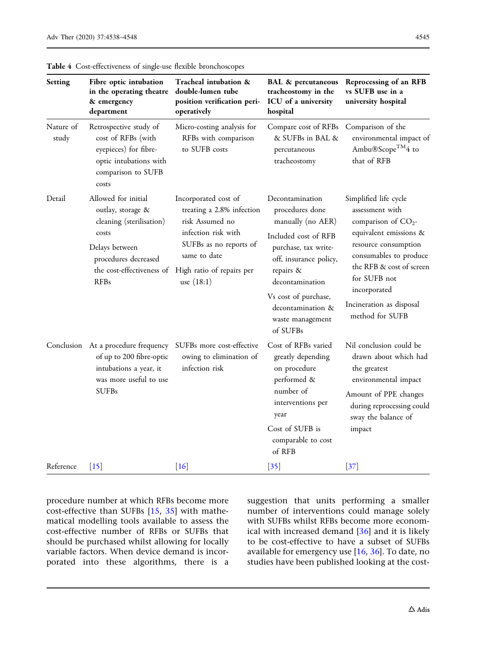| <b>Setting</b>     | Fibre optic intubation<br>in the operating theatre<br>& emergency<br>department                                                        | Tracheal intubation &<br>double-lumen tube<br>position verification peri-<br>operatively                                                                                                                   | <b>BAL</b> & percutaneous<br>tracheostomy in the<br>ICU of a university<br>hospital                                                                                                                                                            | Reprocessing of an RFB<br>vs SUFB use in a<br>university hospital                                                                                                                                                                                        |
|--------------------|----------------------------------------------------------------------------------------------------------------------------------------|------------------------------------------------------------------------------------------------------------------------------------------------------------------------------------------------------------|------------------------------------------------------------------------------------------------------------------------------------------------------------------------------------------------------------------------------------------------|----------------------------------------------------------------------------------------------------------------------------------------------------------------------------------------------------------------------------------------------------------|
| Nature of<br>study | Retrospective study of<br>cost of RFBs (with<br>eyepieces) for fibre-<br>optic intubations with<br>comparison to SUFB<br>costs         | Micro-costing analysis for<br>RFBs with comparison<br>to SUFB costs                                                                                                                                        | Compare cost of RFBs<br>& SUFBs in BAL &<br>percutaneous<br>tracheostomy                                                                                                                                                                       | Comparison of the<br>environmental impact of<br>Ambu®Scope <sup>TM</sup> 4 to<br>that of RFB                                                                                                                                                             |
| Detail             | Allowed for initial<br>outlay, storage &<br>cleaning (sterilisation)<br>costs<br>Delays between<br>procedures decreased<br><b>RFBs</b> | Incorporated cost of<br>treating a 2.8% infection<br>risk Assumed no<br>infection risk with<br>SUFBs as no reports of<br>same to date<br>the cost-effectiveness of High ratio of repairs per<br>use (18:1) | Decontamination<br>procedures done<br>manually (no AER)<br>Included cost of RFB<br>purchase, tax write-<br>off, insurance policy,<br>repairs &<br>decontamination<br>Vs cost of purchase,<br>decontamination &<br>waste management<br>of SUFBs | Simplified life cycle<br>assessment with<br>comparison of $CO2$ -<br>equivalent emissions &<br>resource consumption<br>consumables to produce<br>the RFB & cost of screen<br>for SUFB not<br>incorporated<br>Incineration as disposal<br>method for SUFB |
|                    | Conclusion At a procedure frequency<br>of up to 200 fibre-optic<br>intubations a year, it<br>was more useful to use<br><b>SUFBs</b>    | SUFBs more cost-effective<br>owing to elimination of<br>infection risk                                                                                                                                     | Cost of RFBs varied<br>greatly depending<br>on procedure<br>performed &<br>number of<br>interventions per<br>year<br>Cost of SUFB is<br>comparable to cost<br>of RFB                                                                           | Nil conclusion could be<br>drawn about which had<br>the greatest<br>environmental impact<br>Amount of PPE changes<br>during reprocessing could<br>sway the balance of<br>impact                                                                          |
| Reference          | $[15]$                                                                                                                                 | [16]                                                                                                                                                                                                       | $[35]$                                                                                                                                                                                                                                         | $[37]$                                                                                                                                                                                                                                                   |

<span id="page-7-0"></span>Table 4 Cost-effectiveness of single-use flexible bronchoscopes

procedure number at which RFBs become more cost-effective than SUFBs [\[15,](#page-9-0) [35](#page-10-0)] with mathematical modelling tools available to assess the cost-effective number of RFBs or SUFBs that should be purchased whilst allowing for locally variable factors. When device demand is incorporated into these algorithms, there is a

suggestion that units performing a smaller number of interventions could manage solely with SUFBs whilst RFBs become more economical with increased demand [[36\]](#page-10-0) and it is likely to be cost-effective to have a subset of SUFBs available for emergency use [\[16,](#page-9-0) [36](#page-10-0)]. To date, no studies have been published looking at the cost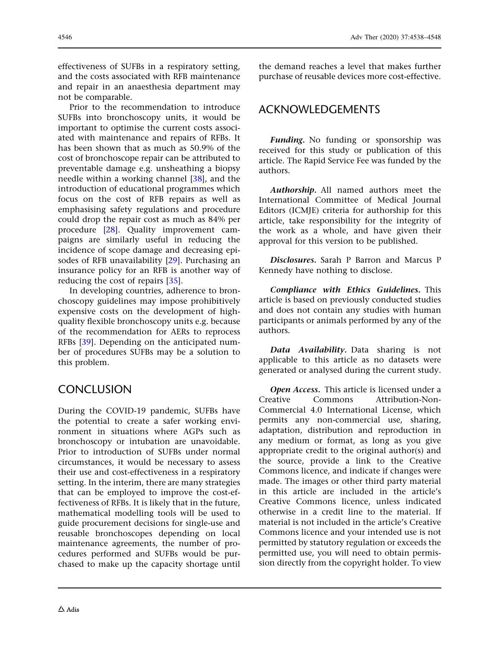effectiveness of SUFBs in a respiratory setting, and the costs associated with RFB maintenance and repair in an anaesthesia department may not be comparable.

Prior to the recommendation to introduce SUFBs into bronchoscopy units, it would be important to optimise the current costs associated with maintenance and repairs of RFBs. It has been shown that as much as 50.9% of the cost of bronchoscope repair can be attributed to preventable damage e.g. unsheathing a biopsy needle within a working channel [\[38\]](#page-10-0), and the introduction of educational programmes which focus on the cost of RFB repairs as well as emphasising safety regulations and procedure could drop the repair cost as much as 84% per procedure [\[28\]](#page-10-0). Quality improvement campaigns are similarly useful in reducing the incidence of scope damage and decreasing episodes of RFB unavailability [\[29\]](#page-10-0). Purchasing an insurance policy for an RFB is another way of reducing the cost of repairs [[35](#page-10-0)].

In developing countries, adherence to bronchoscopy guidelines may impose prohibitively expensive costs on the development of highquality flexible bronchoscopy units e.g. because of the recommendation for AERs to reprocess RFBs [[39](#page-10-0)]. Depending on the anticipated number of procedures SUFBs may be a solution to this problem.

## **CONCLUSION**

During the COVID-19 pandemic, SUFBs have the potential to create a safer working environment in situations where AGPs such as bronchoscopy or intubation are unavoidable. Prior to introduction of SUFBs under normal circumstances, it would be necessary to assess their use and cost-effectiveness in a respiratory setting. In the interim, there are many strategies that can be employed to improve the cost-effectiveness of RFBs. It is likely that in the future, mathematical modelling tools will be used to guide procurement decisions for single-use and reusable bronchoscopes depending on local maintenance agreements, the number of procedures performed and SUFBs would be purchased to make up the capacity shortage until the demand reaches a level that makes further purchase of reusable devices more cost-effective.

#### ACKNOWLEDGEMENTS

Funding. No funding or sponsorship was received for this study or publication of this article. The Rapid Service Fee was funded by the authors.

Authorship. All named authors meet the International Committee of Medical Journal Editors (ICMJE) criteria for authorship for this article, take responsibility for the integrity of the work as a whole, and have given their approval for this version to be published.

Disclosures. Sarah P Barron and Marcus P Kennedy have nothing to disclose.

Compliance with Ethics Guidelines. This article is based on previously conducted studies and does not contain any studies with human participants or animals performed by any of the authors.

Data Availability. Data sharing is not applicable to this article as no datasets were generated or analysed during the current study.

Open Access. This article is licensed under a Creative Commons Attribution-Non-Commercial 4.0 International License, which permits any non-commercial use, sharing, adaptation, distribution and reproduction in any medium or format, as long as you give appropriate credit to the original author(s) and the source, provide a link to the Creative Commons licence, and indicate if changes were made. The images or other third party material in this article are included in the article's Creative Commons licence, unless indicated otherwise in a credit line to the material. If material is not included in the article's Creative Commons licence and your intended use is not permitted by statutory regulation or exceeds the permitted use, you will need to obtain permission directly from the copyright holder. To view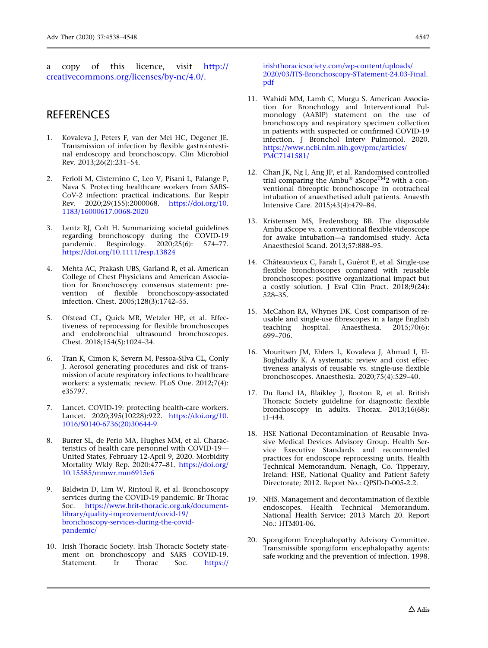<span id="page-9-0"></span>a copy of this licence, visit [http://](http://creativecommons.org/licenses/by-nc/4.0/) [creativecommons.org/licenses/by-nc/4.0/.](http://creativecommons.org/licenses/by-nc/4.0/)

#### REFERENCES

- 1. Kovaleva J, Peters F, van der Mei HC, Degener JE. Transmission of infection by flexible gastrointestinal endoscopy and bronchoscopy. Clin Microbiol Rev. 2013;26(2):231–54.
- 2. Ferioli M, Cisternino C, Leo V, Pisani L, Palange P, Nava S. Protecting healthcare workers from SARS-CoV-2 infection: practical indications. Eur Respir Rev. 2020;29(155):2000068. [https://doi.org/10.](https://doi.org/10.1183/16000617.0068-2020) [1183/16000617.0068-2020](https://doi.org/10.1183/16000617.0068-2020)
- 3. Lentz RJ, Colt H. Summarizing societal guidelines regarding bronchoscopy during the COVID-19 pandemic. Respirology. 2020;25(6): 574–77. <https://doi.org/10.1111/resp.13824>
- 4. Mehta AC, Prakash UBS, Garland R, et al. American College of Chest Physicians and American Association for Bronchoscopy consensus statement: prevention of flexible bronchoscopy-associated infection. Chest. 2005;128(3):1742–55.
- 5. Ofstead CL, Quick MR, Wetzler HP, et al. Effectiveness of reprocessing for flexible bronchoscopes and endobronchial ultrasound bronchoscopes. Chest. 2018;154(5):1024–34.
- 6. Tran K, Cimon K, Severn M, Pessoa-Silva CL, Conly J. Aerosol generating procedures and risk of transmission of acute respiratory infections to healthcare workers: a systematic review. PLoS One. 2012;7(4): e35797.
- 7. Lancet. COVID-19: protecting health-care workers. Lancet. 2020;395(10228):922. [https://doi.org/10.](https://doi.org/10.1016/S0140-6736(20)30644-9) [1016/S0140-6736\(20\)30644-9](https://doi.org/10.1016/S0140-6736(20)30644-9)
- 8. Burrer SL, de Perio MA, Hughes MM, et al. Characteristics of health care personnel with COVID-19— United States, February 12-April 9, 2020. Morbidity Mortality Wkly Rep. 2020:477–81. [https://doi.org/](https://doi.org/10.15585/mmwr.mm6915e6) [10.15585/mmwr.mm6915e6](https://doi.org/10.15585/mmwr.mm6915e6)
- 9. Baldwin D, Lim W, Rintoul R, et al. Bronchoscopy services during the COVID-19 pandemic. Br Thorac Soc. [https://www.brit-thoracic.org.uk/document](https://www.brit-thoracic.org.uk/document-library/quality-improvement/covid-19/bronchoscopy-services-during-the-covid-pandemic/)[library/quality-improvement/covid-19/](https://www.brit-thoracic.org.uk/document-library/quality-improvement/covid-19/bronchoscopy-services-during-the-covid-pandemic/) [bronchoscopy-services-during-the-covid](https://www.brit-thoracic.org.uk/document-library/quality-improvement/covid-19/bronchoscopy-services-during-the-covid-pandemic/)[pandemic/](https://www.brit-thoracic.org.uk/document-library/quality-improvement/covid-19/bronchoscopy-services-during-the-covid-pandemic/)
- 10. Irish Thoracic Society. Irish Thoracic Society statement on bronchoscopy and SARS COVID-19. Statement. Ir Thorac Soc. [https://](https://irishthoracicsociety.com/wp-content/uploads/2020/03/ITS-Bronchoscopy-STatement-24.03-Final.pdf)

[irishthoracicsociety.com/wp-content/uploads/](https://irishthoracicsociety.com/wp-content/uploads/2020/03/ITS-Bronchoscopy-STatement-24.03-Final.pdf) [2020/03/ITS-Bronchoscopy-STatement-24.03-Final.](https://irishthoracicsociety.com/wp-content/uploads/2020/03/ITS-Bronchoscopy-STatement-24.03-Final.pdf) [pdf](https://irishthoracicsociety.com/wp-content/uploads/2020/03/ITS-Bronchoscopy-STatement-24.03-Final.pdf)

- 11. Wahidi MM, Lamb C, Murgu S. American Association for Bronchology and Interventional Pulmonology (AABIP) statement on the use of bronchoscopy and respiratory specimen collection in patients with suspected or confirmed COVID-19 infection. J Bronchol Interv Pulmonol. 2020. [https://www.ncbi.nlm.nih.gov/pmc/articles/](https://www.ncbi.nlm.nih.gov/pmc/articles/PMC7141581/) [PMC7141581/](https://www.ncbi.nlm.nih.gov/pmc/articles/PMC7141581/)
- 12. Chan JK, Ng I, Ang JP, et al. Randomised controlled trial comparing the Ambu<sup>®</sup> aScope<sup>TM</sup>2 with a conventional fibreoptic bronchoscope in orotracheal intubation of anaesthetised adult patients. Anaesth Intensive Care. 2015;43(4):479–84.
- 13. Kristensen MS, Fredensborg BB. The disposable Ambu aScope vs. a conventional flexible videoscope for awake intubation—a randomised study. Acta Anaesthesiol Scand. 2013;57:888–95.
- 14. Châteauvieux C, Farah L, Guérot E, et al. Single-use flexible bronchoscopes compared with reusable bronchoscopes: positive organizational impact but a costly solution. J Eval Clin Pract. 2018;9(24): 528–35.
- 15. McCahon RA, Whynes DK. Cost comparison of reusable and single-use fibrescopes in a large English teaching hospital. Anaesthesia. 2015;70(6): 699–706.
- 16. Mouritsen JM, Ehlers L, Kovaleva J, Ahmad I, El-Boghdadly K. A systematic review and cost effectiveness analysis of reusable vs. single-use flexible bronchoscopes. Anaesthesia. 2020;75(4):529–40.
- 17. Du Rand IA, Blaikley J, Booton R, et al. British Thoracic Society guideline for diagnostic flexible bronchoscopy in adults. Thorax. 2013;16(68): i1–i44.
- 18. HSE National Decontamination of Reusable Invasive Medical Devices Advisory Group. Health Service Executive Standards and recommended practices for endoscope reprocessing units. Health Technical Memorandum. Nenagh, Co. Tipperary, Ireland: HSE, National Quality and Patient Safety Directorate; 2012. Report No.: QPSD-D-005-2.2.
- 19. NHS. Management and decontamination of flexible endoscopes. Health Technical Memorandum. National Health Service; 2013 March 20. Report No.: HTM01-06.
- 20. Spongiform Encephalopathy Advisory Committee. Transmissible spongiform encephalopathy agents: safe working and the prevention of infection. 1998.